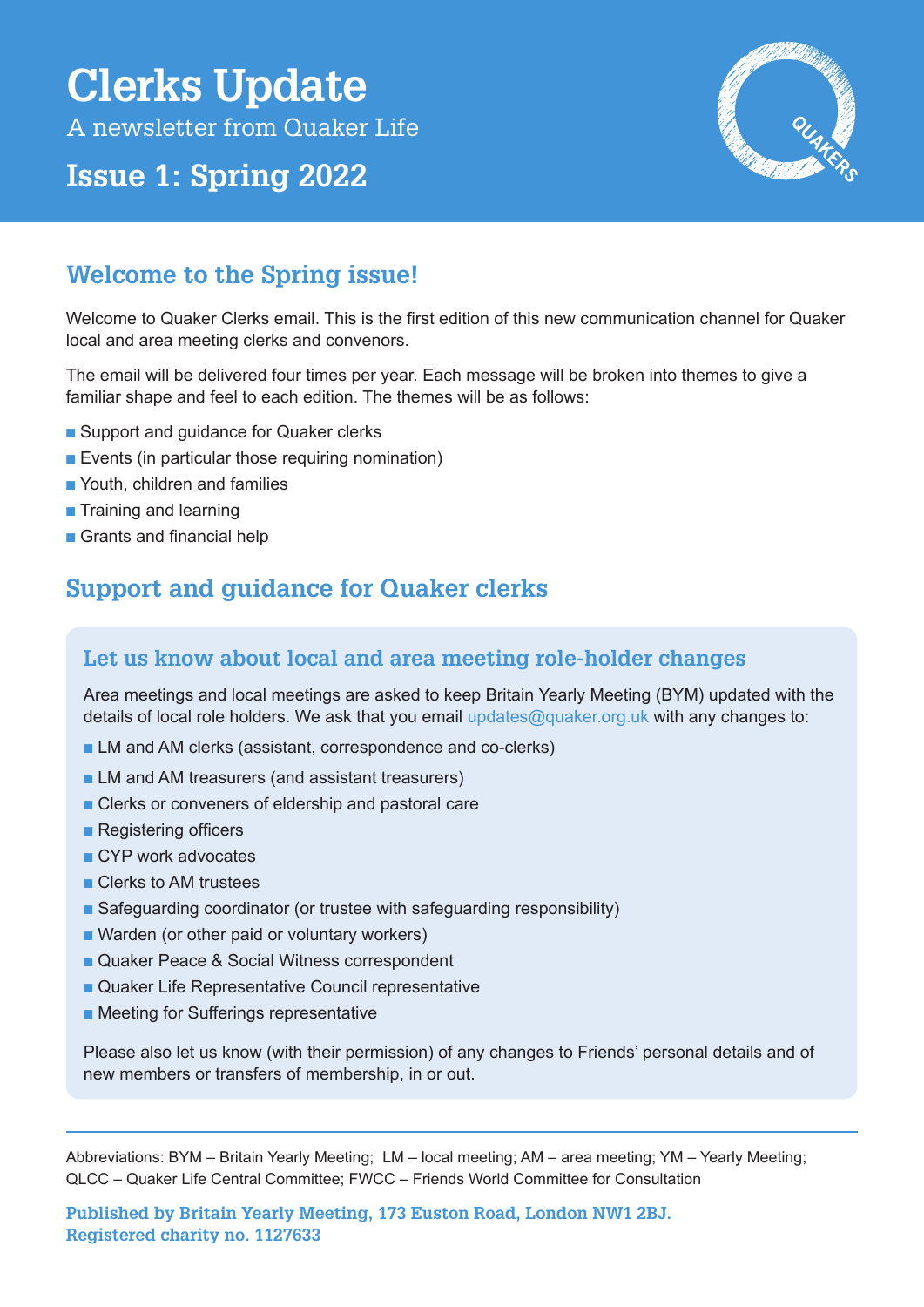# **Clerks Update**

A newsletter from Quaker Life

# **Issue 1: Spring 2022**



## **Welcome to the Spring issue!**

Welcome to Quaker Clerks email. This is the first edition of this new communication channel for Quaker local and area meeting clerks and convenors.

The email will be delivered four times per year. Each message will be broken into themes to give a familiar shape and feel to each edition. The themes will be as follows:

- Support and guidance for Quaker clerks
- $\blacksquare$  Events (in particular those requiring nomination)
- n Youth, children and families
- $\blacksquare$  Training and learning
- $\blacksquare$  Grants and financial help

## **Support and guidance for Quaker clerks**

## **Let us know about local and area meeting role-holder changes**

Area meetings and local meetings are asked to keep Britain Yearly Meeting (BYM) updated with the details of local role holders. We ask that you email updates@quaker.org.uk with any changes to:

- **n** LM and AM clerks (assistant, correspondence and co-clerks)
- **n** LM and AM treasurers (and assistant treasurers)
- Clerks or conveners of eldership and pastoral care
- $\blacksquare$  Registering officers
- **n** CYP work advocates
- **n** Clerks to AM trustees
- Safeguarding coordinator (or trustee with safeguarding responsibility)
- Warden (or other paid or voluntary workers)
- Quaker Peace & Social Witness correspondent
- Quaker Life Representative Council representative
- Meeting for Sufferings representative

Please also let us know (with their permission) of any changes to Friends' personal details and of new members or transfers of membership, in or out.

Abbreviations: BYM – Britain Yearly Meeting; LM – local meeting; AM – area meeting; YM – Yearly Meeting; QLCC – Quaker Life Central Committee; FWCC – [Friends World Committee for Consultation](https://fwcc.world/)

**Published by Britain Yearly Meeting, 173 Euston Road, London NW1 2BJ. Registered charity no. 1127633**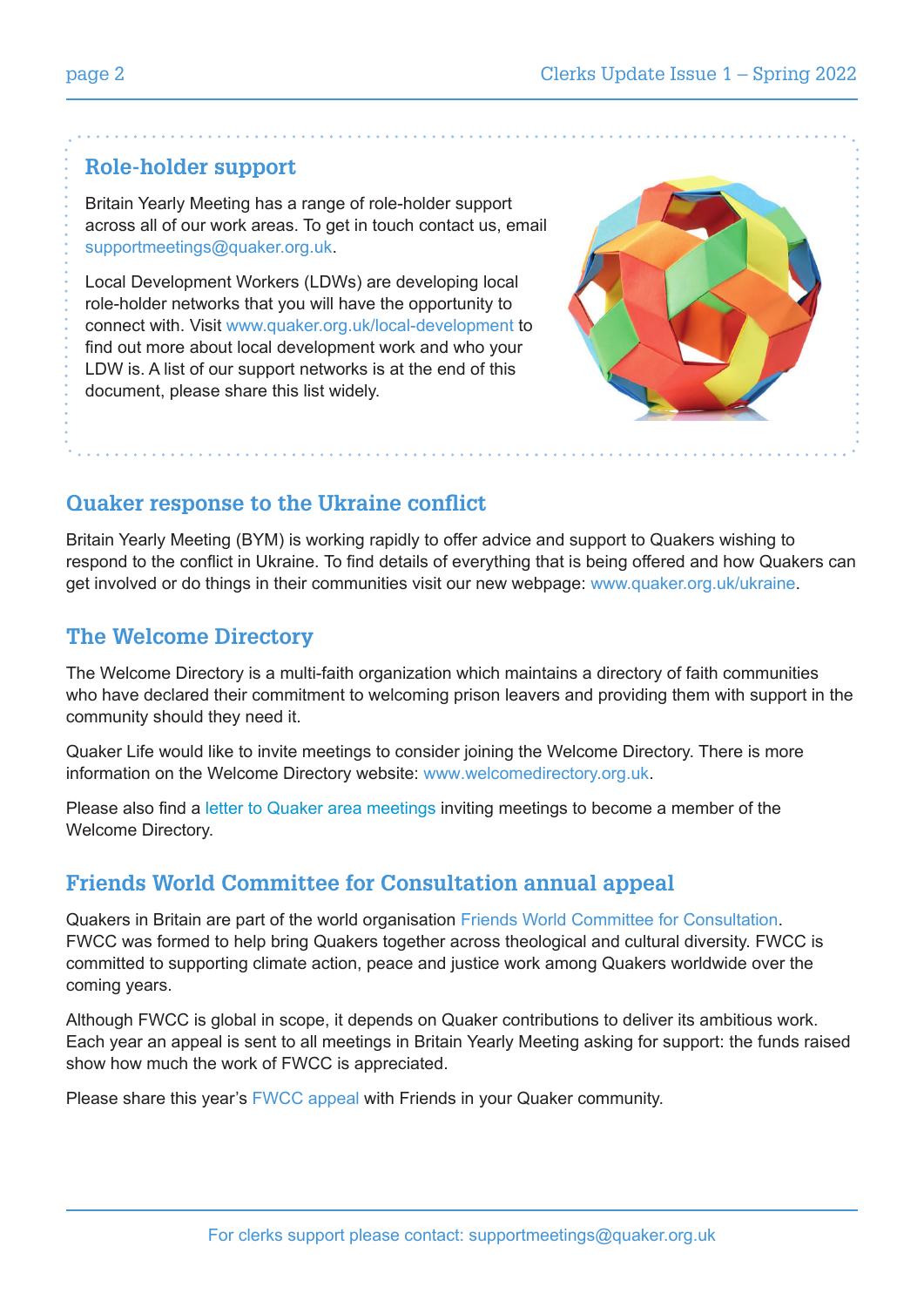## **Role-holder support**

Britain Yearly Meeting has a range of role-holder support across all of our work areas. To get in touch contact us, email supportmeetings@quaker.org.uk.

Local Development Workers (LDWs) are developing local role-holder networks that you will have the opportunity to connect with. Visit www.quaker.org.uk/local-development to find out more about local development work and who your LDW is. A list of our support networks is at the end of this document, please share this list widely.



## **Quaker response to the Ukraine conflict**

Britain Yearly Meeting (BYM) is working rapidly to offer advice and support to Quakers wishing to respond to the conflict in Ukraine. To find details of everything that is being offered and how Quakers can get involved or do things in their communities visit our new webpage: www.quaker.org.uk/ukraine.

## **The Welcome Directory**

The Welcome Directory is a multi-faith organization which maintains a directory of faith communities who have declared their commitment to welcoming prison leavers and providing them with support in the community should they need it.

Quaker Life would like to invite meetings to consider joining the Welcome Directory. There is more information on the Welcome Directory website: www.welcomedirectory.org.uk.

Please also find a [letter to Quaker area meetings](https://www.quaker.org.uk/documents/qpcc-the-welcome-directory-letter-to-ams-03-2022) inviting meetings to become a member of the Welcome Directory.

## **Friends World Committee for Consultation annual appeal**

Quakers in Britain are part of the world organisation [Friends World Committee for Consultation.](https://fwcc.world/) FWCC was formed to help bring Quakers together across theological and cultural diversity. FWCC is committed to supporting climate action, peace and justice work among Quakers worldwide over the coming years.

Although FWCC is global in scope, it depends on Quaker contributions to deliver its ambitious work. Each year an appeal is sent to all meetings in Britain Yearly Meeting asking for support: the funds raised show how much the work of FWCC is appreciated.

Please share this year's [FWCC appeal](https://www.quaker.org.uk/documents/fwcc-appeal-2022) with Friends in your Quaker community.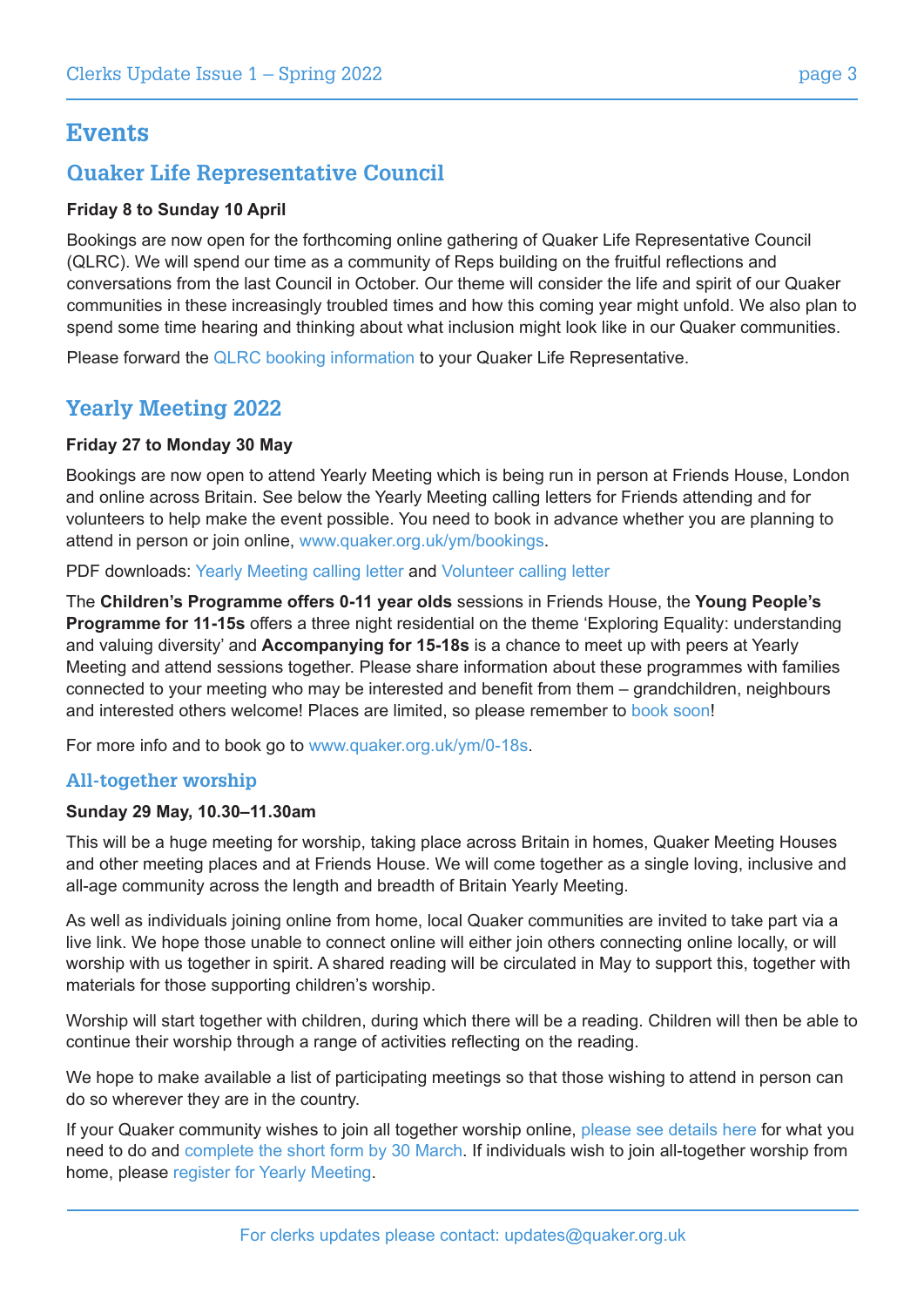## **Events**

## **Quaker Life Representative Council**

## **Friday 8 to Sunday 10 April**

Bookings are now open for the forthcoming online gathering of Quaker Life Representative Council (QLRC). We will spend our time as a community of Reps building on the fruitful reflections and conversations from the last Council in October. Our theme will consider the life and spirit of our Quaker communities in these increasingly troubled times and how this coming year might unfold. We also plan to spend some time hearing and thinking about what inclusion might look like in our Quaker communities.

Please forward the [QLRC booking information](https://forms.quaker.org.uk/qlrc-april-2022/) to your Quaker Life Representative.

## **Yearly Meeting 2022**

#### **Friday 27 to Monday 30 May**

Bookings are now open to attend Yearly Meeting which is being run in person at Friends House, London and online across Britain. See below the Yearly Meeting calling letters for Friends attending and for volunteers to help make the event possible. You need to book in advance whether you are planning to attend in person or join online, www.quaker.org.uk/ym/bookings.

PDF downloads: [Yearly Meeting calling letter](https://www.quaker.org.uk/documents/yearly-meeting-letter-2022-2) and [Volunteer calling letter](https://www.quaker.org.uk/documents/ym-2022-volunteer-calling-letter-1)

The **Children's Programme offers 0-11 year olds** sessions in Friends House, the **Young People's Programme for 11-15s** offers a three night residential on the theme 'Exploring Equality: understanding and valuing diversity' and **Accompanying for 15-18s** is a chance to meet up with peers at Yearly Meeting and attend sessions together. Please share information about these programmes with families connected to your meeting who may be interested and benefit from them – grandchildren, neighbours and interested others welcome! Places are limited, so please remember to [book soon](http://book soon)!

For more info and to book go to www.quaker.org.uk/ym/0-18s.

## **All-together worship**

#### **Sunday 29 May, 10.30–11.30am**

This will be a huge meeting for worship, taking place across Britain in homes, Quaker Meeting Houses and other meeting places and at Friends House. We will come together as a single loving, inclusive and all-age community across the length and breadth of Britain Yearly Meeting.

As well as individuals joining online from home, local Quaker communities are invited to take part via a live link. We hope those unable to connect online will either join others connecting online locally, or will worship with us together in spirit. A shared reading will be circulated in May to support this, together with materials for those supporting children's worship.

Worship will start together with children, during which there will be a reading. Children will then be able to continue their worship through a range of activities reflecting on the reading.  

We hope to make available a list of participating meetings so that those wishing to attend in person can do so wherever they are in the country.

If your Quaker community wishes to join all together worship online, [please see details here](https://quaker.org.uk/documents/joining-all-together-worship-at-ym) for what you need to do and [complete the short form by 30 March](https://forms.quaker.org.uk/atw/). If individuals wish to join all-together worship from home, please [register for Yearly Meeting](http://www.quaker.org.uk/ym/booking).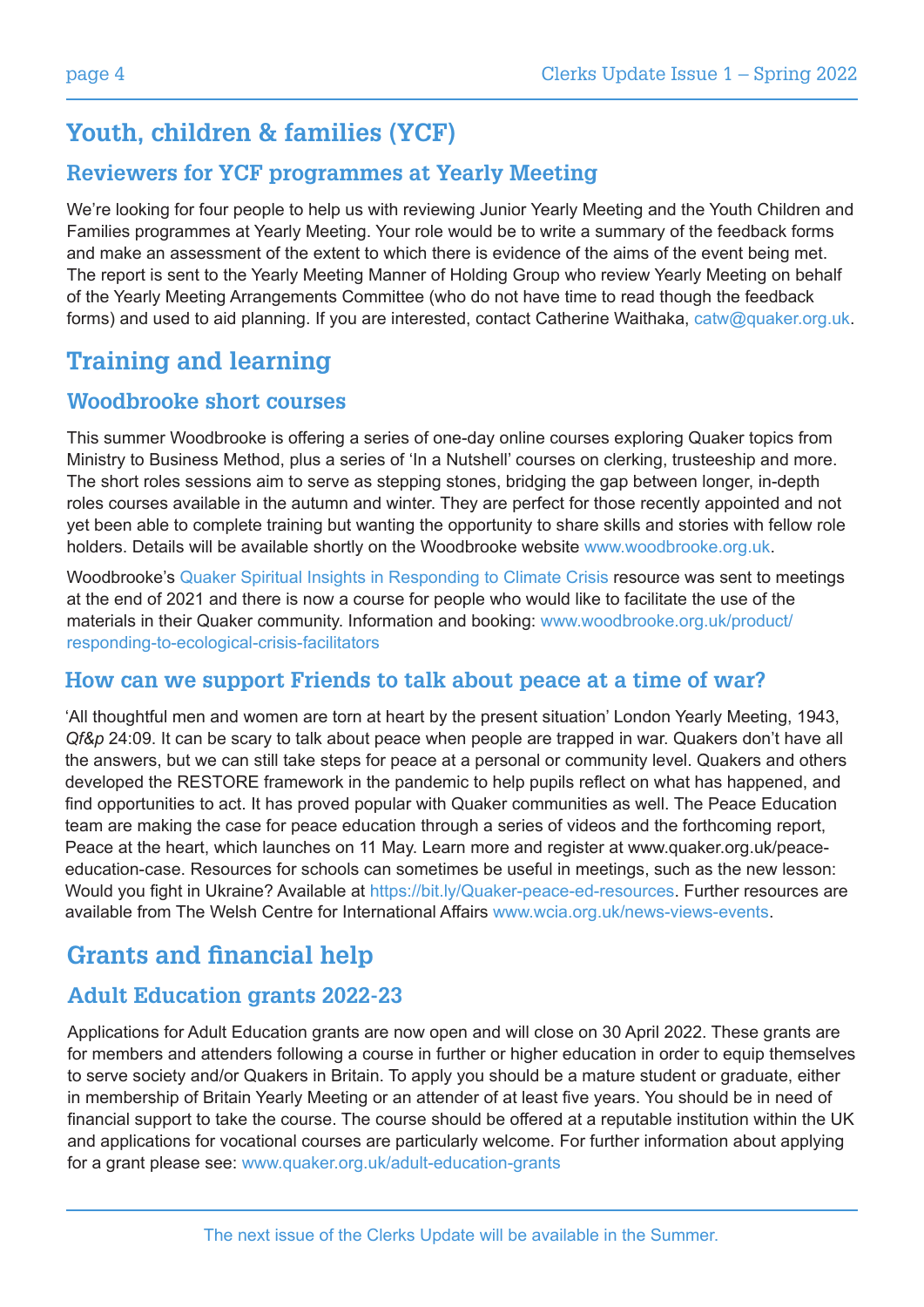# **Youth, children & families (YCF)**

## **Reviewers for YCF programmes at Yearly Meeting**

We're looking for four people to help us with reviewing Junior Yearly Meeting and the Youth Children and Families programmes at Yearly Meeting. Your role would be to write a summary of the feedback forms and make an assessment of the extent to which there is evidence of the aims of the event being met. The report is sent to the Yearly Meeting Manner of Holding Group who review Yearly Meeting on behalf of the Yearly Meeting Arrangements Committee (who do not have time to read though the feedback forms) and used to aid planning. If you are interested, contact Catherine Waithaka, catw@quaker.org.uk.

# **Training and learning**

## **Woodbrooke short courses**

This summer Woodbrooke is offering a series of one-day online courses exploring Quaker topics from Ministry to Business Method, plus a series of 'In a Nutshell' courses on clerking, trusteeship and more. The short roles sessions aim to serve as stepping stones, bridging the gap between longer, in-depth roles courses available in the autumn and winter. They are perfect for those recently appointed and not yet been able to complete training but wanting the opportunity to share skills and stories with fellow role holders. Details will be available shortly on the Woodbrooke website www.woodbrooke.org.uk.

Woodbrooke's [Quaker Spiritual Insights in Responding to Climate Crisis](https://www.woodbrooke.org.uk/learn/climate-crisis/climate-crisis-insights/) resource was sent to meetings at the end of 2021 and there is now a course for people who would like to facilitate the use of the materials in their Quaker community. Information and booking: [www.woodbrooke.org.uk/product/](www.woodbrooke.org.uk/product/responding-to-ecological-crisis-facilitators) [responding-to-ecological-crisis-facilitators](www.woodbrooke.org.uk/product/responding-to-ecological-crisis-facilitators)

## **How can we support Friends to talk about peace at a time of war?**

'All thoughtful men and women are torn at heart by the present situation' London Yearly Meeting, 1943, *Qf&p* 24:09. It can be scary to talk about peace when people are trapped in war. Quakers don't have all the answers, but we can still take steps for peace at a personal or community level. Quakers and others developed the RESTORE framework in the pandemic to help pupils reflect on what has happened, and find opportunities to act. It has proved popular with Quaker communities as well. The Peace Education team are making the case for peace education through a series of videos and the forthcoming report, Peace at the heart, which launches on 11 May. Learn more and register at www.quaker.org.uk/peaceeducation-case. Resources for schools can sometimes be useful in meetings, such as the new lesson: Would you fight in Ukraine? Available at https://bit.ly/Quaker-peace-ed-resources. Further resources are available from The Welsh Centre for International Affairs www.wcia.org.uk/news-views-events.

# **Grants and financial help**

## **Adult Education grants 2022-23**

Applications for Adult Education grants are now open and will close on 30 April 2022. These grants are for members and attenders following a course in further or higher education in order to equip themselves to serve society and/or Quakers in Britain. To apply you should be a mature student or graduate, either in membership of Britain Yearly Meeting or an attender of at least five years. You should be in need of financial support to take the course. The course should be offered at a reputable institution within the UK and applications for vocational courses are particularly welcome. For further information about applying for a grant please see: www.quaker.org.uk/adult-education-grants